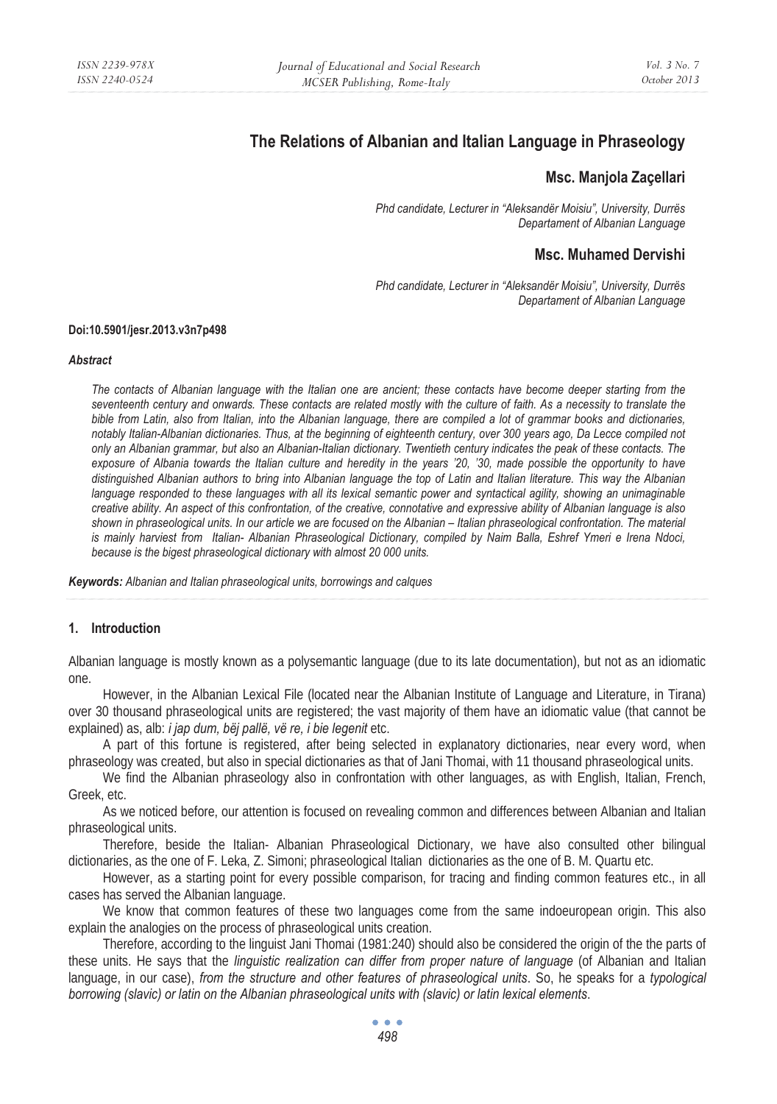# **The Relations of Albanian and Italian Language in Phraseology**

## **Msc. Manjola Zaçellari**

*Phd candidate, Lecturer in "Aleksandër Moisiu", University, Durrës Departament of Albanian Language* 

## **Msc. Muhamed Dervishi**

*Phd candidate, Lecturer in "Aleksandër Moisiu", University, Durrës Departament of Albanian Language* 

#### **Doi:10.5901/jesr.2013.v3n7p498**

#### *Abstract*

*The contacts of Albanian language with the Italian one are ancient; these contacts have become deeper starting from the seventeenth century and onwards. These contacts are related mostly with the culture of faith. As a necessity to translate the bible from Latin, also from Italian, into the Albanian language, there are compiled a lot of grammar books and dictionaries, notably Italian-Albanian dictionaries. Thus, at the beginning of eighteenth century, over 300 years ago, Da Lecce compiled not only an Albanian grammar, but also an Albanian-Italian dictionary. Twentieth century indicates the peak of these contacts. The*  exposure of Albania towards the Italian culture and heredity in the years '20, '30, made possible the opportunity to have *distinguished Albanian authors to bring into Albanian language the top of Latin and Italian literature. This way the Albanian*  language responded to these languages with all its lexical semantic power and syntactical agility, showing an unimaginable *creative ability. An aspect of this confrontation, of the creative, connotative and expressive ability of Albanian language is also shown in phraseological units. In our article we are focused on the Albanian – Italian phraseological confrontation. The material is mainly harviest from Italian- Albanian Phraseological Dictionary, compiled by Naim Balla, Eshref Ymeri e Irena Ndoci, because is the bigest phraseological dictionary with almost 20 000 units.* 

*Keywords: Albanian and Italian phraseological units, borrowings and calques* 

#### **1. Introduction**

Albanian language is mostly known as a polysemantic language (due to its late documentation), but not as an idiomatic one.

However, in the Albanian Lexical File (located near the Albanian Institute of Language and Literature, in Tirana) over 30 thousand phraseological units are registered; the vast majority of them have an idiomatic value (that cannot be explained) as, alb: *i jap dum, bëj pallë, vë re, i bie legenit* etc.

A part of this fortune is registered, after being selected in explanatory dictionaries, near every word, when phraseology was created, but also in special dictionaries as that of Jani Thomai, with 11 thousand phraseological units.

We find the Albanian phraseology also in confrontation with other languages, as with English, Italian, French, Greek, etc.

As we noticed before, our attention is focused on revealing common and differences between Albanian and Italian phraseological units.

Therefore, beside the Italian- Albanian Phraseological Dictionary, we have also consulted other bilingual dictionaries, as the one of F. Leka, Z. Simoni; phraseological Italian dictionaries as the one of B. M. Quartu etc.

However, as a starting point for every possible comparison, for tracing and finding common features etc., in all cases has served the Albanian language.

We know that common features of these two languages come from the same indoeuropean origin. This also explain the analogies on the process of phraseological units creation.

Therefore, according to the linguist Jani Thomai (1981:240) should also be considered the origin of the the parts of these units. He says that the *linguistic realization can differ from proper nature of language* (of Albanian and Italian language, in our case), *from the structure and other features of phraseological units*. So, he speaks for a *typological borrowing (slavic) or latin on the Albanian phraseological units with (slavic) or latin lexical elements*.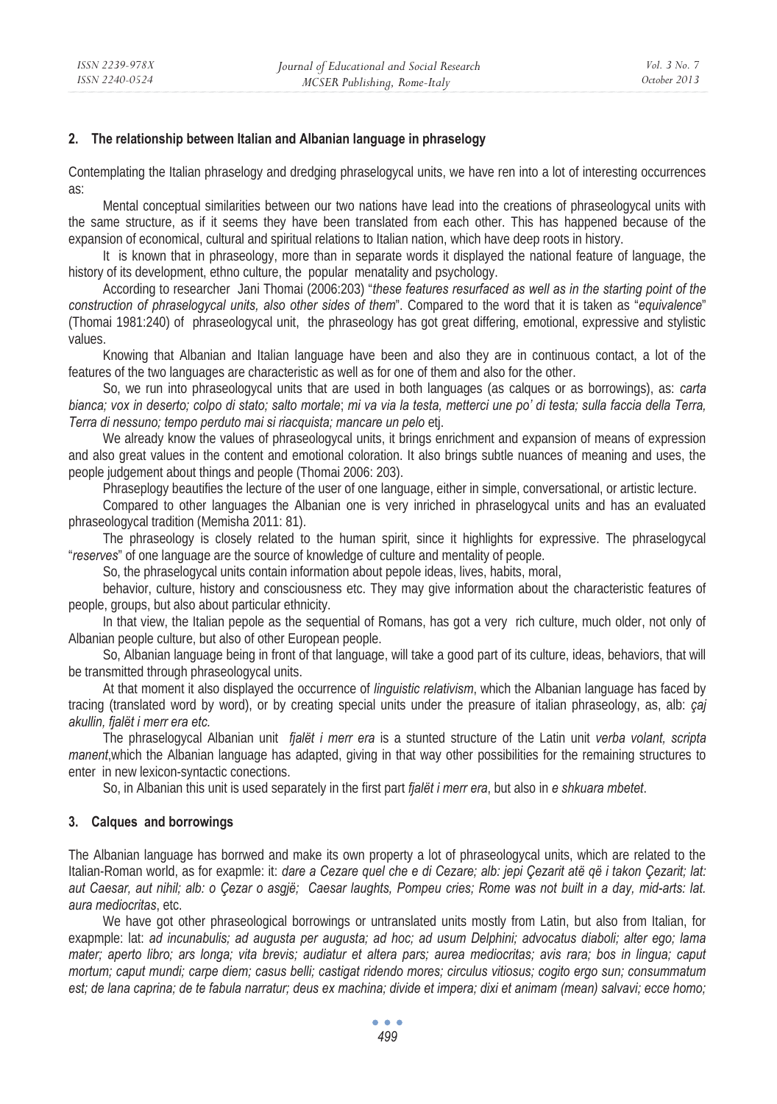## **2. The relationship between Italian and Albanian language in phraselogy**

Contemplating the Italian phraselogy and dredging phraselogycal units, we have ren into a lot of interesting occurrences as:

Mental conceptual similarities between our two nations have lead into the creations of phraseologycal units with the same structure, as if it seems they have been translated from each other. This has happened because of the expansion of economical, cultural and spiritual relations to Italian nation, which have deep roots in history.

It is known that in phraseology, more than in separate words it displayed the national feature of language, the history of its development, ethno culture, the popular menatality and psychology.

According to researcher Jani Thomai (2006:203) "*these features resurfaced as well as in the starting point of the construction of phraselogycal units, also other sides of them*". Compared to the word that it is taken as "*equivalence*" (Thomai 1981:240) of phraseologycal unit, the phraseology has got great differing, emotional, expressive and stylistic values.

Knowing that Albanian and Italian language have been and also they are in continuous contact, a lot of the features of the two languages are characteristic as well as for one of them and also for the other.

So, we run into phraseologycal units that are used in both languages (as calques or as borrowings), as: *carta bianca; vox in deserto; colpo di stato; salto mortale*; *mi va via la testa, metterci une po' di testa; sulla faccia della Terra, Terra di nessuno; tempo perduto mai si riacquista; mancare un pelo* etj.

We already know the values of phraseologycal units, it brings enrichment and expansion of means of expression and also great values in the content and emotional coloration. It also brings subtle nuances of meaning and uses, the people judgement about things and people (Thomai 2006: 203).

Phraseplogy beautifies the lecture of the user of one language, either in simple, conversational, or artistic lecture.

Compared to other languages the Albanian one is very inriched in phraselogycal units and has an evaluated phraseologycal tradition (Memisha 2011: 81).

The phraseology is closely related to the human spirit, since it highlights for expressive. The phraselogycal "*reserves*" of one language are the source of knowledge of culture and mentality of people.

So, the phraselogycal units contain information about pepole ideas, lives, habits, moral,

behavior, culture, history and consciousness etc. They may give information about the characteristic features of people, groups, but also about particular ethnicity.

In that view, the Italian pepole as the sequential of Romans, has got a very rich culture, much older, not only of Albanian people culture, but also of other European people.

So, Albanian language being in front of that language, will take a good part of its culture, ideas, behaviors, that will be transmitted through phraseologycal units.

At that moment it also displayed the occurrence of *linguistic relativism*, which the Albanian language has faced by tracing (translated word by word), or by creating special units under the preasure of italian phraseology, as, alb: *çaj akullin, fjalët i merr era etc.* 

The phraselogycal Albanian unit *fjalët i merr era* is a stunted structure of the Latin unit *verba volant, scripta manent*,which the Albanian language has adapted, giving in that way other possibilities for the remaining structures to enter in new lexicon-syntactic conections.

So, in Albanian this unit is used separately in the first part *fjalët i merr era*, but also in *e shkuara mbetet*.

### **3. Calques and borrowings**

The Albanian language has borrwed and make its own property a lot of phraseologycal units, which are related to the Italian-Roman world, as for exapmle: it: *dare a Cezare quel che e di Cezare; alb: jepi Çezarit atë që i takon Çezarit; lat: aut Caesar, aut nihil; alb: o Çezar o asgjë; Caesar laughts, Pompeu cries; Rome was not built in a day, mid-arts: lat. aura mediocritas*, etc.

We have got other phraseological borrowings or untranslated units mostly from Latin, but also from Italian, for exapmple: lat: *ad incunabulis; ad augusta per augusta; ad hoc; ad usum Delphini; advocatus diaboli; alter ego; lama mater; aperto libro; ars longa; vita brevis; audiatur et altera pars; aurea mediocritas; avis rara; bos in lingua; caput mortum; caput mundi; carpe diem; casus belli; castigat ridendo mores; circulus vitiosus; cogito ergo sun; consummatum*  est; de lana caprina; de te fabula narratur; deus ex machina; divide et impera; dixi et animam (mean) salvavi; ecce homo;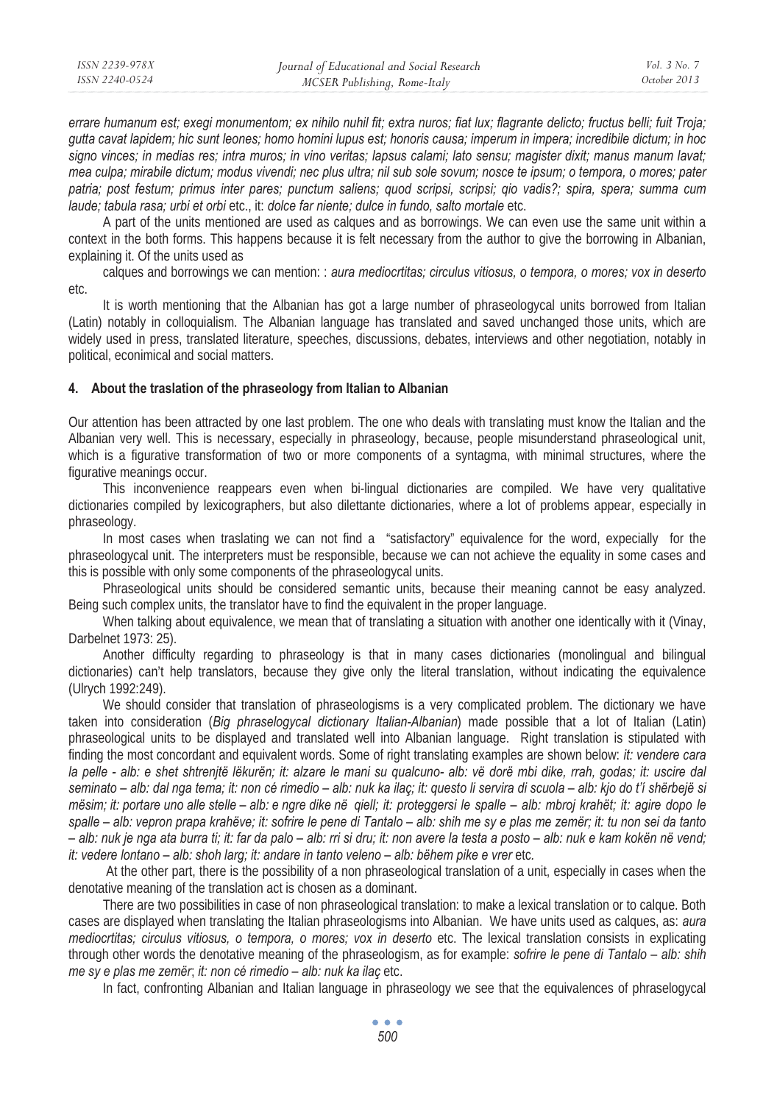| ISSN 2239-978X | Journal of Educational and Social Research | Vol. 3 No. 7 |
|----------------|--------------------------------------------|--------------|
| ISSN 2240-0524 | MCSER Publishing, Rome-Italy               | October 2013 |

*errare humanum est; exegi monumentom; ex nihilo nuhil fit; extra nuros; fiat lux; flagrante delicto; fructus belli; fuit Troja; gutta cavat lapidem; hic sunt leones; homo homini lupus est; honoris causa; imperum in impera; incredibile dictum; in hoc signo vinces; in medias res; intra muros; in vino veritas; lapsus calami; lato sensu; magister dixit; manus manum lavat; mea culpa; mirabile dictum; modus vivendi; nec plus ultra; nil sub sole sovum; nosce te ipsum; o tempora, o mores; pater patria; post festum; primus inter pares; punctum saliens; quod scripsi, scripsi; qio vadis?; spira, spera; summa cum laude; tabula rasa; urbi et orbi* etc., it: *dolce far niente; dulce in fundo, salto mortale* etc.

A part of the units mentioned are used as calques and as borrowings. We can even use the same unit within a context in the both forms. This happens because it is felt necessary from the author to give the borrowing in Albanian, explaining it. Of the units used as

calques and borrowings we can mention: : *aura mediocrtitas; circulus vitiosus, o tempora, o mores; vox in deserto*  etc.

It is worth mentioning that the Albanian has got a large number of phraseologycal units borrowed from Italian (Latin) notably in colloquialism. The Albanian language has translated and saved unchanged those units, which are widely used in press, translated literature, speeches, discussions, debates, interviews and other negotiation, notably in political, econimical and social matters.

## **4. About the traslation of the phraseology from Italian to Albanian**

Our attention has been attracted by one last problem. The one who deals with translating must know the Italian and the Albanian very well. This is necessary, especially in phraseology, because, people misunderstand phraseological unit, which is a figurative transformation of two or more components of a syntagma, with minimal structures, where the figurative meanings occur.

This inconvenience reappears even when bi-lingual dictionaries are compiled. We have very qualitative dictionaries compiled by lexicographers, but also dilettante dictionaries, where a lot of problems appear, especially in phraseology.

In most cases when traslating we can not find a "satisfactory" equivalence for the word, expecially for the phraseologycal unit. The interpreters must be responsible, because we can not achieve the equality in some cases and this is possible with only some components of the phraseologycal units.

Phraseological units should be considered semantic units, because their meaning cannot be easy analyzed. Being such complex units, the translator have to find the equivalent in the proper language.

When talking about equivalence, we mean that of translating a situation with another one identically with it (Vinay, Darbelnet 1973: 25).

Another difficulty regarding to phraseology is that in many cases dictionaries (monolingual and bilingual dictionaries) can't help translators, because they give only the literal translation, without indicating the equivalence (Ulrych 1992:249).

We should consider that translation of phraseologisms is a very complicated problem. The dictionary we have taken into consideration (*Big phraselogycal dictionary Italian-Albanian*) made possible that a lot of Italian (Latin) phraseological units to be displayed and translated well into Albanian language. Right translation is stipulated with finding the most concordant and equivalent words. Some of right translating examples are shown below: *it: vendere cara la pelle - alb: e shet shtrenjtë lëkurën; it: alzare le mani su qualcuno- alb: vë dorë mbi dike, rrah, godas; it: uscire dal seminato – alb: dal nga tema; it: non cé rimedio – alb: nuk ka ilaç; it: questo li servira di scuola – alb: kjo do t'í shërbejë si mësim; it: portare uno alle stelle – alb: e ngre dike në qiell; it: proteggersi le spalle – alb: mbroj krahët; it: agire dopo le spalle – alb: vepron prapa krahëve; it: sofrire le pene di Tantalo – alb: shih me sy e plas me zemër; it: tu non sei da tanto – alb: nuk je nga ata burra ti; it: far da palo – alb: rri si dru; it: non avere la testa a posto – alb: nuk e kam kokën në vend; it: vedere lontano – alb: shoh larg; it: andare in tanto veleno – alb: bëhem pike e vrer etc.* 

 At the other part, there is the possibility of a non phraseological translation of a unit, especially in cases when the denotative meaning of the translation act is chosen as a dominant.

There are two possibilities in case of non phraseological translation: to make a lexical translation or to calque. Both cases are displayed when translating the Italian phraseologisms into Albanian. We have units used as calques, as: *aura mediocrtitas; circulus vitiosus, o tempora, o mores; vox in deserto* etc. The lexical translation consists in explicating through other words the denotative meaning of the phraseologism, as for example: *sofrire le pene di Tantalo – alb: shih me sy e plas me zemër*; *it: non cé rimedio – alb: nuk ka ilaç* etc.

In fact, confronting Albanian and Italian language in phraseology we see that the equivalences of phraselogycal